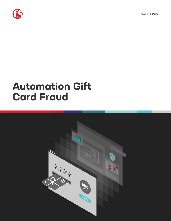



# **Automation Gift Card Fraud**

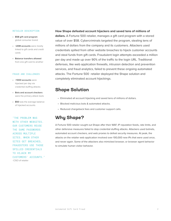#### RETAILER DESCRIPTION

- **• \$5B gift card program** global consumer brand
- **• ~20M accounts** were mostly linked to gift cards and credit cards
- **• Balance transfers allowed** from one gift card to another

#### FRAUD AND CHALLENGES

- **• ~1000 accounts** were hijacked per day via credential stuffing attacks
- **• Bots and account checkers** were the primary attack tools
- **• \$50** was the average balance of hijacked accounts

"THE PROBLEM WAS WITH OTHER WEBSITES. OUR CUSTOMERS REUSE THE SAME PASSWORDS ACROSS MULTIPLE SITES. WHEN OTHER SITES GET BREACHED, FRAUDSTERS USE THOSE SPILLED CREDENTIALS TO HIJACK MY CUSTOMERS' ACCOUNTS." -CISO of retailer

#### **How Shape defeated account hijackers and saved tens of millions of**

**dollars.** A Fortune 500 retailer, manages a gift card program with a stored value of over \$5B. Cybercriminals targeted the program, stealing tens of millions of dollars from the company and its customers. Attackers used credentials spilled from other website breaches to hijack customer accounts and steal funds from gift cards. Fraudulent login attempts exceeded a million per day and made up over 90% of the traffic to the login URL. Traditional defenses, like web application firewalls, intrusion detection and prevention services, and fraud analytics, failed to prevent these ongoing automated attacks. The Fortune 500 retailer deployed the Shape solution and completely eliminated account hijackings.

### **Shape Solution**

- Eliminated all account hijacking and saved tens of millions of dollars.
- Blocked malicious bots & automated attacks.
- Reduced chargeback fees and customer support calls.

### **Why Shape?**

A Fortune 500 retailer sought out Shape after their WAF, IP reputation feeds, rate limits, and other defensive measures failed to stop credential stuffing attacks. Attackers used botnets, automated account checkers, and web proxies to defeat security measures. At peak, the attacks on the retailer web application involved over 100,000 new IPs that were used once, and never again. Some of the attackers also mimicked browser, or browser agent behavior to simulate human visitor behavior.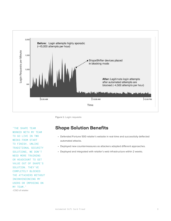

**Figure 1:** Login requests

"THE SHAPE TEAM WORKED WITH MY TEAM TO GO LIVE IN TWO WEEKS FROM START TO FINISH. UNLIKE TRADITIONAL SECURITY SOLUTIONS, WE DON'T NEED MORE TRAINING OR HEADCOUNT TO GET VALUE OUT OF SHAPE'S SOLUTION. THEY'VE COMPLETELY BLOCKED THE ATTACKERS WITHOUT INCONVENIENCING MY USERS OR IMPOSING ON MY TEAM." -CISO of retailer

### **Shape Solution Benefits**

- Defended Fortune 500 retailer's website in real-time and successfully deflected automated attacks.
- Deployed new countermeasures as attackers adopted different approaches.
- Deployed and integrated with retailer's web infrastructure within 2 weeks.